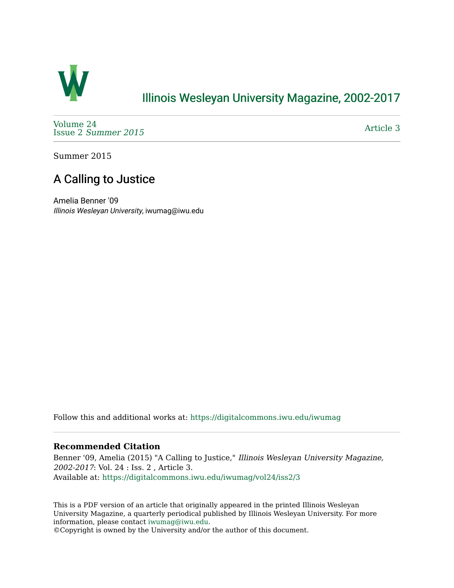

### [Illinois Wesleyan University Magazine, 2002-2017](https://digitalcommons.iwu.edu/iwumag)

[Volume 24](https://digitalcommons.iwu.edu/iwumag/vol24)  Issue 2 [Summer 2015](https://digitalcommons.iwu.edu/iwumag/vol24/iss2) 

[Article 3](https://digitalcommons.iwu.edu/iwumag/vol24/iss2/3) 

Summer 2015

## A Calling to Justice

Amelia Benner '09 Illinois Wesleyan University, iwumag@iwu.edu

Follow this and additional works at: [https://digitalcommons.iwu.edu/iwumag](https://digitalcommons.iwu.edu/iwumag?utm_source=digitalcommons.iwu.edu%2Fiwumag%2Fvol24%2Fiss2%2F3&utm_medium=PDF&utm_campaign=PDFCoverPages) 

#### **Recommended Citation**

Benner '09, Amelia (2015) "A Calling to Justice," Illinois Wesleyan University Magazine, 2002-2017: Vol. 24 : Iss. 2 , Article 3. Available at: [https://digitalcommons.iwu.edu/iwumag/vol24/iss2/3](https://digitalcommons.iwu.edu/iwumag/vol24/iss2/3?utm_source=digitalcommons.iwu.edu%2Fiwumag%2Fvol24%2Fiss2%2F3&utm_medium=PDF&utm_campaign=PDFCoverPages)

This is a PDF version of an article that originally appeared in the printed Illinois Wesleyan University Magazine, a quarterly periodical published by Illinois Wesleyan University. For more information, please contact [iwumag@iwu.edu](mailto:iwumag@iwu.edu).

©Copyright is owned by the University and/or the author of this document.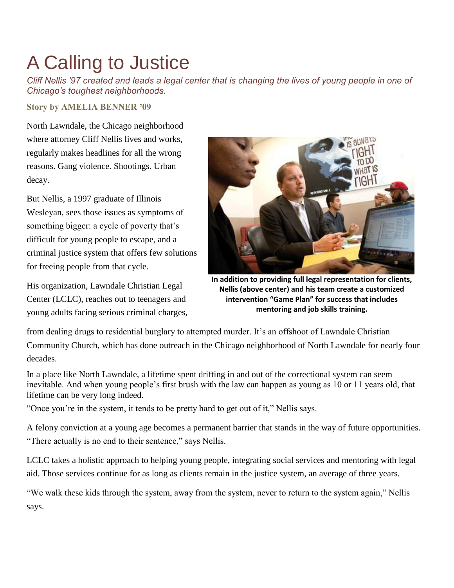# A Calling to Justice

*Cliff Nellis '97 created and leads a legal center that is changing the lives of young people in one of Chicago's toughest neighborhoods.*

**Story by AMELIA BENNER '09**

North Lawndale, the Chicago neighborhood where attorney Cliff Nellis lives and works, regularly makes headlines for all the wrong reasons. Gang violence. Shootings. Urban decay.

But Nellis, a 1997 graduate of Illinois Wesleyan, sees those issues as symptoms of something bigger: a cycle of poverty that's difficult for young people to escape, and a criminal justice system that offers few solutions for freeing people from that cycle.

His organization, Lawndale Christian Legal Center (LCLC), reaches out to teenagers and young adults facing serious criminal charges,



**In addition to providing full legal representation for clients, Nellis (above center) and his team create a customized intervention "Game Plan" for success that includes mentoring and job skills training.**

from dealing drugs to residential burglary to attempted murder. It's an offshoot of Lawndale Christian Community Church, which has done outreach in the Chicago neighborhood of North Lawndale for nearly four decades.

In a place like North Lawndale, a lifetime spent drifting in and out of the correctional system can seem inevitable. And when young people's first brush with the law can happen as young as 10 or 11 years old, that lifetime can be very long indeed.

"Once you're in the system, it tends to be pretty hard to get out of it," Nellis says.

A felony conviction at a young age becomes a permanent barrier that stands in the way of future opportunities. "There actually is no end to their sentence," says Nellis.

LCLC takes a holistic approach to helping young people, integrating social services and mentoring with legal aid. Those services continue for as long as clients remain in the justice system, an average of three years.

"We walk these kids through the system, away from the system, never to return to the system again," Nellis says.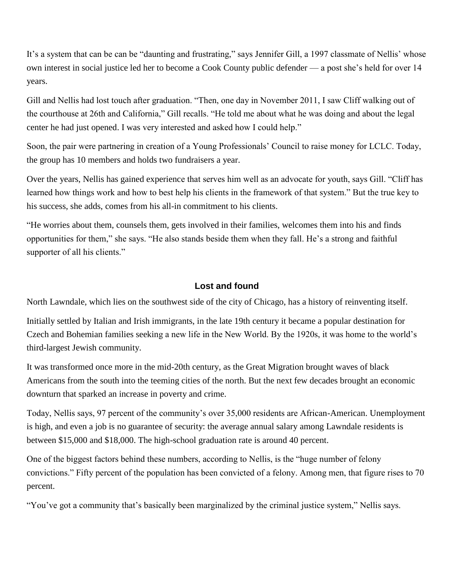It's a system that can be can be "daunting and frustrating," says Jennifer Gill, a 1997 classmate of Nellis' whose own interest in social justice led her to become a Cook County public defender — a post she's held for over 14 years.

Gill and Nellis had lost touch after graduation. "Then, one day in November 2011, I saw Cliff walking out of the courthouse at 26th and California," Gill recalls. "He told me about what he was doing and about the legal center he had just opened. I was very interested and asked how I could help."

Soon, the pair were partnering in creation of a Young Professionals' Council to raise money for LCLC. Today, the group has 10 members and holds two fundraisers a year.

Over the years, Nellis has gained experience that serves him well as an advocate for youth, says Gill. "Cliff has learned how things work and how to best help his clients in the framework of that system." But the true key to his success, she adds, comes from his all-in commitment to his clients.

"He worries about them, counsels them, gets involved in their families, welcomes them into his and finds opportunities for them," she says. "He also stands beside them when they fall. He's a strong and faithful supporter of all his clients."

### **Lost and found**

North Lawndale, which lies on the southwest side of the city of Chicago, has a history of reinventing itself.

Initially settled by Italian and Irish immigrants, in the late 19th century it became a popular destination for Czech and Bohemian families seeking a new life in the New World. By the 1920s, it was home to the world's third-largest Jewish community.

It was transformed once more in the mid-20th century, as the Great Migration brought waves of black Americans from the south into the teeming cities of the north. But the next few decades brought an economic downturn that sparked an increase in poverty and crime.

Today, Nellis says, 97 percent of the community's over 35,000 residents are African-American. Unemployment is high, and even a job is no guarantee of security: the average annual salary among Lawndale residents is between \$15,000 and \$18,000. The high-school graduation rate is around 40 percent.

One of the biggest factors behind these numbers, according to Nellis, is the "huge number of felony convictions." Fifty percent of the population has been convicted of a felony. Among men, that figure rises to 70 percent.

"You've got a community that's basically been marginalized by the criminal justice system," Nellis says.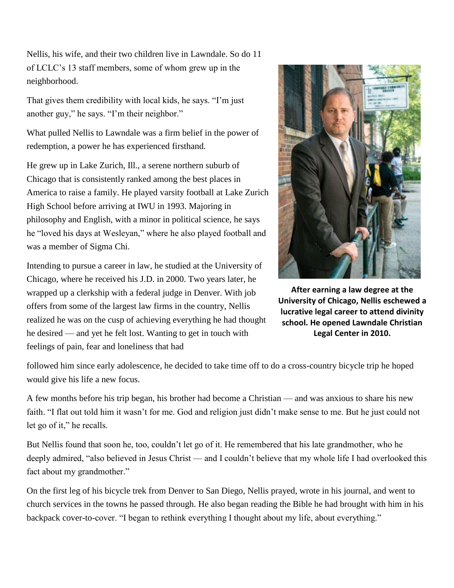Nellis, his wife, and their two children live in Lawndale. So do 11 of LCLC's 13 staff members, some of whom grew up in the neighborhood.

That gives them credibility with local kids, he says. "I'm just another guy," he says. "I'm their neighbor."

What pulled Nellis to Lawndale was a firm belief in the power of redemption, a power he has experienced firsthand.

He grew up in Lake Zurich, Ill., a serene northern suburb of Chicago that is consistently ranked among the best places in America to raise a family. He played varsity football at Lake Zurich High School before arriving at IWU in 1993. Majoring in philosophy and English, with a minor in political science, he says he "loved his days at Wesleyan," where he also played football and was a member of Sigma Chi.

Intending to pursue a career in law, he studied at the University of Chicago, where he received his J.D. in 2000. Two years later, he wrapped up a clerkship with a federal judge in Denver. With job offers from some of the largest law firms in the country, Nellis realized he was on the cusp of achieving everything he had thought he desired — and yet he felt lost. Wanting to get in touch with feelings of pain, fear and loneliness that had



**After earning a law degree at the University of Chicago, Nellis eschewed a lucrative legal career to attend divinity school. He opened Lawndale Christian Legal Center in 2010.**

followed him since early adolescence, he decided to take time off to do a cross-country bicycle trip he hoped would give his life a new focus.

A few months before his trip began, his brother had become a Christian — and was anxious to share his new faith. "I flat out told him it wasn't for me. God and religion just didn't make sense to me. But he just could not let go of it," he recalls.

But Nellis found that soon he, too, couldn't let go of it. He remembered that his late grandmother, who he deeply admired, "also believed in Jesus Christ — and I couldn't believe that my whole life I had overlooked this fact about my grandmother."

On the first leg of his bicycle trek from Denver to San Diego, Nellis prayed, wrote in his journal, and went to church services in the towns he passed through. He also began reading the Bible he had brought with him in his backpack cover-to-cover. "I began to rethink everything I thought about my life, about everything."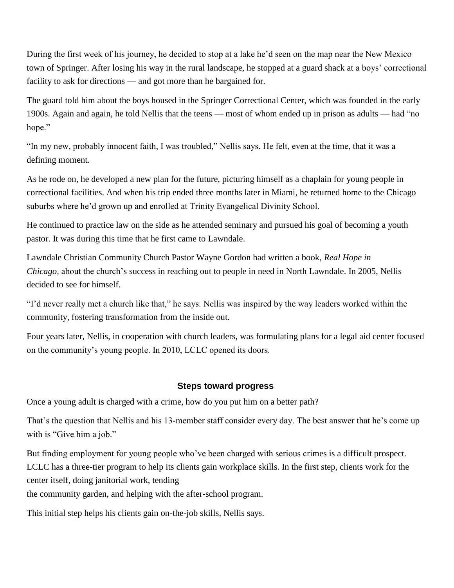During the first week of his journey, he decided to stop at a lake he'd seen on the map near the New Mexico town of Springer. After losing his way in the rural landscape, he stopped at a guard shack at a boys' correctional facility to ask for directions — and got more than he bargained for.

The guard told him about the boys housed in the Springer Correctional Center, which was founded in the early 1900s. Again and again, he told Nellis that the teens — most of whom ended up in prison as adults — had "no hope."

"In my new, probably innocent faith, I was troubled," Nellis says. He felt, even at the time, that it was a defining moment.

As he rode on, he developed a new plan for the future, picturing himself as a chaplain for young people in correctional facilities. And when his trip ended three months later in Miami, he returned home to the Chicago suburbs where he'd grown up and enrolled at Trinity Evangelical Divinity School.

He continued to practice law on the side as he attended seminary and pursued his goal of becoming a youth pastor. It was during this time that he first came to Lawndale.

Lawndale Christian Community Church Pastor Wayne Gordon had written a book, *Real Hope in Chicago,* about the church's success in reaching out to people in need in North Lawndale. In 2005, Nellis decided to see for himself.

"I'd never really met a church like that," he says. Nellis was inspired by the way leaders worked within the community, fostering transformation from the inside out.

Four years later, Nellis, in cooperation with church leaders, was formulating plans for a legal aid center focused on the community's young people. In 2010, LCLC opened its doors.

### **Steps toward progress**

Once a young adult is charged with a crime, how do you put him on a better path?

That's the question that Nellis and his 13-member staff consider every day. The best answer that he's come up with is "Give him a job."

But finding employment for young people who've been charged with serious crimes is a difficult prospect. LCLC has a three-tier program to help its clients gain workplace skills. In the first step, clients work for the center itself, doing janitorial work, tending

the community garden, and helping with the after-school program.

This initial step helps his clients gain on-the-job skills, Nellis says.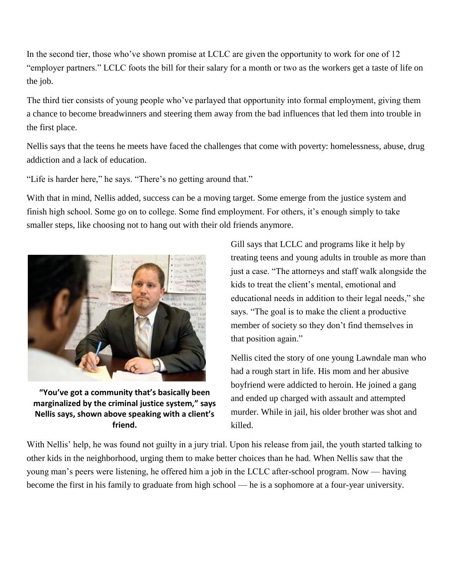In the second tier, those who've shown promise at LCLC are given the opportunity to work for one of 12 "employer partners." LCLC foots the bill for their salary for a month or two as the workers get a taste of life on the job.

The third tier consists of young people who've parlayed that opportunity into formal employment, giving them a chance to become breadwinners and steering them away from the bad influences that led them into trouble in the first place.

Nellis says that the teens he meets have faced the challenges that come with poverty: homelessness, abuse, drug addiction and a lack of education.

"Life is harder here," he says. "There's no getting around that."

With that in mind, Nellis added, success can be a moving target. Some emerge from the justice system and finish high school. Some go on to college. Some find employment. For others, it's enough simply to take smaller steps, like choosing not to hang out with their old friends anymore.



**"You've got a community that's basically been marginalized by the criminal justice system," says Nellis says, shown above speaking with a client's friend.**

Gill says that LCLC and programs like it help by treating teens and young adults in trouble as more than just a case. "The attorneys and staff walk alongside the kids to treat the client's mental, emotional and educational needs in addition to their legal needs," she says. "The goal is to make the client a productive member of society so they don't find themselves in that position again."

Nellis cited the story of one young Lawndale man who had a rough start in life. His mom and her abusive boyfriend were addicted to heroin. He joined a gang and ended up charged with assault and attempted murder. While in jail, his older brother was shot and killed.

With Nellis' help, he was found not guilty in a jury trial. Upon his release from jail, the youth started talking to other kids in the neighborhood, urging them to make better choices than he had. When Nellis saw that the young man's peers were listening, he offered him a job in the LCLC after-school program. Now — having become the first in his family to graduate from high school — he is a sophomore at a four-year university.